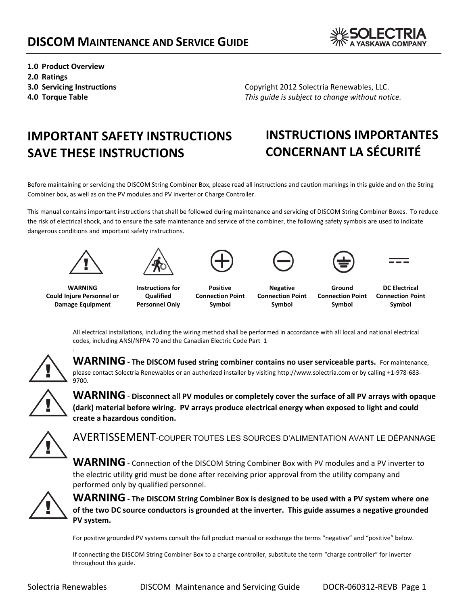

- **1.0 Product Overview 2.0 Ratings**
- **3.0 Servicing Instructions**
- **4.0 Torque Table**

Copyright 2012 Solectria Renewables, LLC. *This guide is subject to change without notice.* 

# **IMPORTANT SAFETY INSTRUCTIONS SAVE THESE INSTRUCTIONS**

# **INSTRUCTIONS IMPORTANTES CONCERNANT LA SÉCURITÉ**

Before maintaining or servicing the DISCOM String Combiner Box, please read all instructions and caution markings in this guide and on the String Combiner box, as well as on the PV modules and PV inverter or Charge Controller.

This manual contains important instructions that shall be followed during maintenance and servicing of DISCOM String Combiner Boxes. To reduce the risk of electrical shock, and to ensure the safe maintenance and service of the combiner, the following safety symbols are used to indicate dangerous conditions and important safety instructions.





**WARNING Could Injure Personnel or Damage Equipment**

.

**Instructions for Qualified Personnel Only**

**Positive Connection Point Symbol**





**Negative Connection Point Symbol**

**Ground Connection Point Symbol**

**DC Electrical Connection Point Symbol**

All electrical installations, including the wiring method shall be performed in accordance with all local and national electrical codes, including ANSI/NFPA 70 and the Canadian Electric Code Part 1



**WARNING ‐ The DISCOM fused string combiner contains no user serviceable parts.** For maintenance, please contact Solectria Renewables or an authorized installer by visiting http://www.solectria.com or by calling +1‐978‐683‐ 9700.



**WARNING ‐ Disconnect all PV modules or completely cover the surface of all PV arrays with opaque (dark) material before wiring. PV arrays produce electrical energy when exposed to light and could create a hazardous condition.**



AVERTISSEMENT-COUPER TOUTES LES SOURCES D'ALIMENTATION AVANT LE DÉPANNAGE

**WARNING ‐** Connection of the DISCOM String Combiner Box with PV modules and <sup>a</sup> PV inverter to the electric utility grid must be done after receiving prior approval from the utility company and performed only by qualified personnel.



**WARNING ‐ The DISCOM String Combiner Box is designed to be used with <sup>a</sup> PV system where one** of the two DC source conductors is grounded at the inverter. This guide assumes a negative grounded **PV system.**

For positive grounded PV systems consult the full product manual or exchange the terms "negative" and "positive" below.

If connecting the DISCOM String Combiner Box to a charge controller, substitute the term "charge controller" for inverter throughout this guide.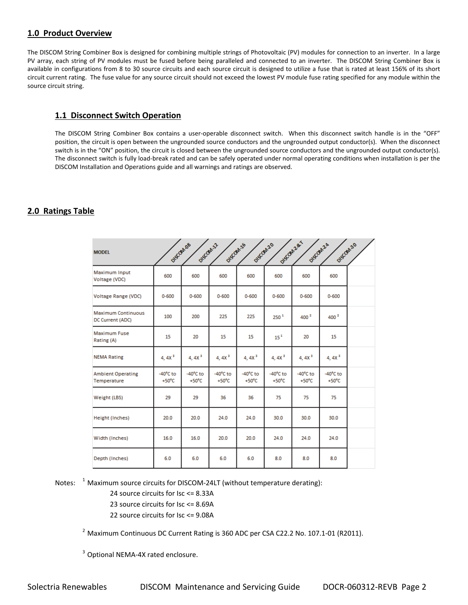# **1.0 Product Overview**

The DISCOM String Combiner Box is designed for combining multiple strings of Photovoltaic (PV) modules for connection to an inverter. In a large PV array, each string of PV modules must be fused before being paralleled and connected to an inverter. The DISCOM String Combiner Box is available in configurations from 8 to 30 source circuits and each source circuit is designed to utilize a fuse that is rated at least 156% of its short circuit current rating. The fuse value for any source circuit should not exceed the lowest PV module fuse rating specified for any module within the source circuit string.

# **1.1 Disconnect Switch Operation**

The DISCOM String Combiner Box contains a user-operable disconnect switch. When this disconnect switch handle is in the "OFF" position, the circuit is open between the ungrounded source conductors and the ungrounded output conductor(s). When the disconnect switch is in the "ON" position, the circuit is closed between the ungrounded source conductors and the ungrounded output conductor(s). The disconnect switch is fully load‐break rated and can be safely operated under normal operating conditions when installation is per the DISCOM Installation and Operations guide and all warnings and ratings are observed.

# **2.0 Ratings Table**

| <b>MODEL</b>                                  | DISCOMDS                              | DISCOMIZ                              | DISCOMIS                              | DISCOM20                              | Disconzar                             | DISCOM2A                              | DISCOM30                              |  |
|-----------------------------------------------|---------------------------------------|---------------------------------------|---------------------------------------|---------------------------------------|---------------------------------------|---------------------------------------|---------------------------------------|--|
| Maximum Input<br>Voltage (VDC)                | 600                                   | 600                                   | 600                                   | 600                                   | 600                                   | 600                                   | 600                                   |  |
| Voltage Range (VDC)                           | $0 - 600$                             | $0 - 600$                             | $0 - 600$                             | $0 - 600$                             | $0 - 600$                             | $0 - 600$                             | $0 - 600$                             |  |
| <b>Maximum Continuous</b><br>DC Current (ADC) | 100                                   | 200                                   | 225                                   | 225                                   | 250 <sup>1</sup>                      |                                       | 400 <sup>2</sup>                      |  |
| <b>Maximum Fuse</b><br>Rating (A)             | 15                                    | 20                                    | 15                                    | 15                                    | 15 <sup>4</sup>                       | 20                                    | 15                                    |  |
| <b>NEMA Rating</b>                            | 4, 4X $^3$                            | 4, 4X $^3$                            | 4, 4X $^3$                            | 4, 4X $^3$                            | 4, 4X $^3$                            | 4, 4X $^3$                            | $4,4X^3$                              |  |
| <b>Ambient Operating</b><br>Temperature       | $-40^{\circ}$ C to<br>$+50^{\circ}$ C | $-40^{\circ}$ C to<br>$+50^{\circ}$ C | $-40^{\circ}$ C to<br>$+50^{\circ}$ C | $-40^{\circ}$ C to<br>$+50^{\circ}$ C | $-40^{\circ}$ C to<br>$+50^{\circ}$ C | $-40^{\circ}$ C to<br>$+50^{\circ}$ C | $-40^{\circ}$ C to<br>$+50^{\circ}$ C |  |
| Weight (LBS)                                  | 29                                    | 29                                    | 36                                    | 36                                    | 75                                    | 75                                    | 75                                    |  |
| Height (Inches)                               | 20.0                                  | 20.0                                  | 24.0                                  | 24.0                                  | 30.0                                  | 30.0                                  | 30.0                                  |  |
| Width (Inches)                                | 16.0                                  | 16.0                                  | 20.0                                  | 20.0                                  | 24.0                                  | 24.0                                  | 24.0                                  |  |
| Depth (Inches)                                | 6.0                                   | 6.0                                   | 6.0                                   | 6.0                                   | 8.0                                   | 8.0                                   | 8.0                                   |  |

Notes: <sup>1</sup> Maximum source circuits for DISCOM-24LT (without temperature derating):

24 source circuits for Isc <= 8.33A

- 23 source circuits for Isc <= 8.69A
- 22 source circuits for Isc <= 9.08A

<sup>2</sup> Maximum Continuous DC Current Rating is 360 ADC per CSA C22.2 No. 107.1-01 (R2011).

<sup>3</sup> Optional NEMA-4X rated enclosure.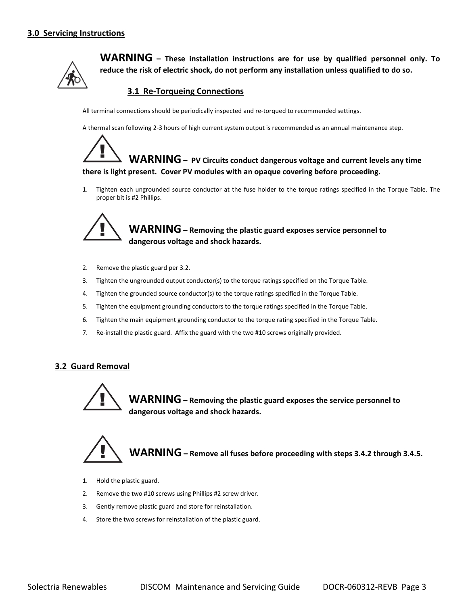

**WARNING – These installation instructions are for use by qualified personnel only. To reduce the risk of electric shock, do not perform any installation unless qualified to do so.**

### **3.1 Re‐Torqueing Connections**

All terminal connections should be periodically inspected and re-torqued to recommended settings.

A thermal scan following 2‐3 hours of high current system output is recommended as an annual maintenance step.



1. Tighten each ungrounded source conductor at the fuse holder to the torque ratings specified in the Torque Table. The proper bit is #2 Phillips.



# **WARNING– Removing the plastic guard exposes service personnel to dangerous voltage and shock hazards.**

- 2. Remove the plastic guard per 3.2.
- 3. Tighten the ungrounded output conductor(s) to the torque ratings specified on the Torque Table.
- 4. Tighten the grounded source conductor(s) to the torque ratings specified in the Torque Table.
- 5. Tighten the equipment grounding conductors to the torque ratings specified in the Torque Table.
- 6. Tighten the main equipment grounding conductor to the torque rating specified in the Torque Table.
- 7. Re-install the plastic guard. Affix the guard with the two #10 screws originally provided.

### **3.2 Guard Removal**



**WARNING– Removing the plastic guard exposes the service personnel to dangerous voltage and shock hazards.**



- 1. Hold the plastic guard.
- 2. Remove the two #10 screws using Phillips #2 screw driver.
- 3. Gently remove plastic guard and store for reinstallation.
- 4. Store the two screws for reinstallation of the plastic guard.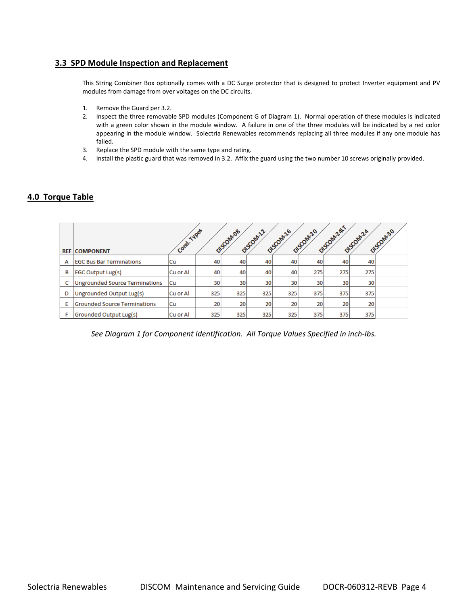## **3.3 SPD Module Inspection and Replacement**

This String Combiner Box optionally comes with a DC Surge protector that is designed to protect Inverter equipment and PV modules from damage from over voltages on the DC circuits.

- 1. Remove the Guard per 3.2.
- 2. Inspect the three removable SPD modules (Component G of Diagram 1). Normal operation of these modules is indicated with a green color shown in the module window. A failure in one of the three modules will be indicated by a red color appearing in the module window. Solectria Renewables recommends replacing all three modules if any one module has failed.
- 3. Replace the SPD module with the same type and rating.
- 4. Install the plastic guard that was removed in 3.2. Affix the guard using the two number 10 screws originally provided.

## **4.0 Torque Table**

|   | <b>REF COMPONENT</b>                | Cord. Types |                 | DISCOMOS | DISCOM <sub>122</sub> | DISCOM <sub>26</sub> | DISCOM <sub>20</sub> | Discomzal1 | O1SCOM2A | DISCOM30 |
|---|-------------------------------------|-------------|-----------------|----------|-----------------------|----------------------|----------------------|------------|----------|----------|
|   |                                     |             |                 |          |                       |                      |                      |            |          |          |
| A | <b>IEGC Bus Bar Terminations</b>    | Cu          | 40              | 40       | 40                    | 40                   | 40                   | 40         | 40       |          |
| B | <b>EGC Output Lug(s)</b>            | Cu or Al    | 40              | 40       | 40                    | 40                   | 275                  | 275        | 275      |          |
| C | Ungrounded Source Terminations      | Cu          | 30              | 30       | 30                    | 30                   | 30 <sub>1</sub>      | 30         | 30       |          |
| D | Ungrounded Output Lug(s)            | Cu or Al    | 325             | 325      | 325                   | 325                  | 375                  | 375        | 375      |          |
| E | <b>Grounded Source Terminations</b> | lCu         | 20 <sub>1</sub> | 20       | 20                    | 20                   | 20                   | 20         | 20       |          |
| F | Grounded Output Lug(s)              | Cu or Al    | 325             | 325      | 325                   | 325                  | 375                  | 375        | 375      |          |

*See Diagram 1 for Component Identification. All Torque Values Specified in inch‐lbs.*